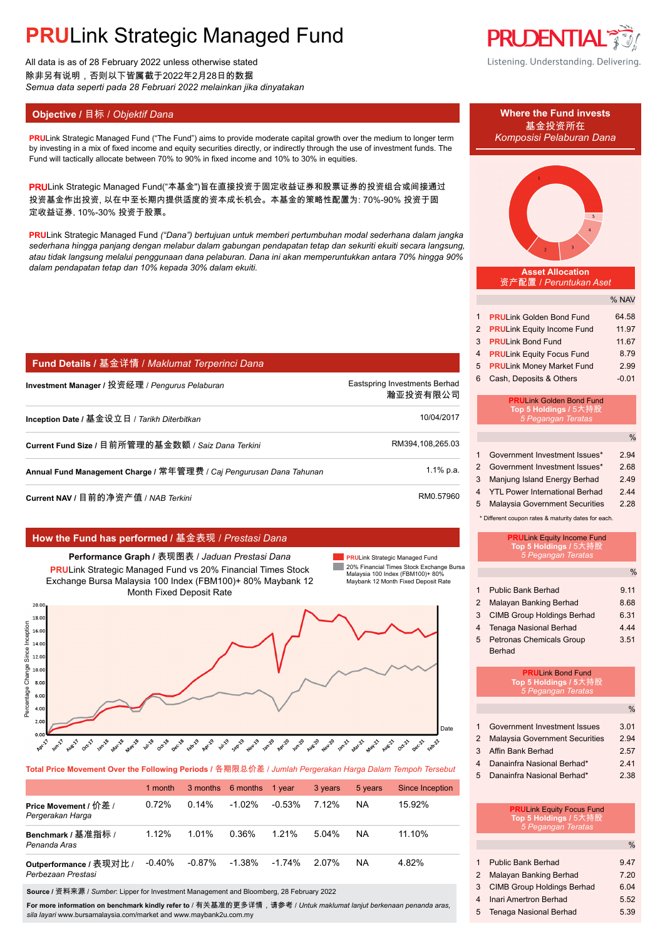All data is as of 28 February 2022 unless otherwise stated 除非另有说明,否则以下皆属截于2022年2月28日的数据 *Semua data seperti pada 28 Februari 2022 melainkan jika dinyatakan*

### **Objective / 目标 /** *Objektif Dana* **<b>Where the Fund invests Where the Fund invests**

**PRULink Strategic Managed Fund ("The Fund") aims to provide moderate capital growth over the medium to longer term** by investing in a mix of fixed income and equity securities directly, or indirectly through the use of investment funds. The Fund will tactically allocate between 70% to 90% in fixed income and 10% to 30% in equities.

PRULink Strategic Managed Fund("本基金")旨在直接投资于固定收益证券和股票证券的投资组合或间接通过 投资基金作出投资, 以在中至长期内提供适度的资本成长机会。本基金的策略性配置为: 70%-90% 投资于固 定收益证券, 10%-30% 投资于股票。

**PRU**Link Strategic Managed Fund *("Dana") bertujuan untuk memberi pertumbuhan modal sederhana dalam jangka sederhana hingga panjang dengan melabur dalam gabungan pendapatan tetap dan sekuriti ekuiti secara langsung, atau tidak langsung melalui penggunaan dana pelaburan. Dana ini akan memperuntukkan antara 70% hingga 90% dalam pendapatan tetap dan 10% kepada 30% dalam ekuiti.*

| Investment Manager / 投资经理 / <i>Penqurus Pelaburan</i>               | Eastspring Investments Berhad<br>瀚亚投资有限公司 |
|---------------------------------------------------------------------|-------------------------------------------|
| Inception Date / 基金设立日 / <i>Tarikh Diterbitkan</i>                  | 10/04/2017                                |
| Current Fund Size / 目前所管理的基金数额 / Saiz Dana Terkini                  | RM394,108,265.03                          |
| Annual Fund Management Charge / 常年管理费 / Caj Pengurusan Dana Tahunan | $1.1\%$ p.a.                              |
| Current NAV / 目前的净资产值 / NAB <i>Terkini</i>                          | RM0.57960                                 |

### **How the Fund has performed /** 基金表现 / *Prestasi Dana*

**Performance Graph /** 表现图表 / *Jaduan Prestasi Dana* **PRU**Link Strategic Managed Fund vs 20% Financial Times Stock Exchange Bursa Malaysia 100 Index (FBM100)+ 80% Maybank 12 Month Fixed Deposit Rate

**PRU**Link Strategic Managed Fund **COL** 20% Financial Times Stock Exchange Bursa Malaysia 100 Index (FBM100)+ 80% Maybank 12 Month Fixed Deposit Rate



**Total Price Movement Over the Following Periods /** 各期限总价差 / *Jumlah Pergerakan Harga Dalam Tempoh Tersebut*

|                                               | 1 month  |           | 3 months 6 months | 1 year   | 3 years  | 5 years   | <b>Since Inception</b> |
|-----------------------------------------------|----------|-----------|-------------------|----------|----------|-----------|------------------------|
| Price Movement / 价差 /<br>Pergerakan Harga     | 0.72%    | $0.14\%$  | $-1.02%$          | $-0.53%$ | 7.12%    | <b>NA</b> | 15.92%                 |
| Benchmark / 基准指标 /<br>Penanda Aras            | 1.12%    | 1.01%     | 0.36%             | 1.21%    | $5.04\%$ | NA.       | 11.10%                 |
| Outperformance / 表现对比 /<br>Perbezaan Prestasi | $-0.40%$ | $-0.87\%$ | $-1.38\%$         | -1.74%   | 2.07%    | NA.       | 4.82%                  |

**Source /** 资料来源 / *Sumber*: Lipper for Investment Management and Bloomberg, 28 February 2022

**For more information on benchmark kindly refer to** / 有关基准的更多详情,请参考 / *Untuk maklumat lanjut berkenaan penanda aras, sila layari* www.bursamalaysia.com/market and www.maybank2u.com.my



Listening. Understanding. Delivering.

基金投资所在<br>Komposisi Pelaburan Dana



| 2 PRULink Equity Income Fund | 11.97   |
|------------------------------|---------|
| 3 PRULink Bond Fund          | 11.67   |
| 4 PRULink Equity Focus Fund  | 8.79    |
| 5 PRULink Money Market Fund  | 2.99    |
| 6 Cash, Deposits & Others    | $-0.01$ |

#### **PRU**Link Golden Bond Fund **Top 5 Holdings / 5** *5 Pegangan Teratas*

|                |                                       | $\frac{0}{0}$ |
|----------------|---------------------------------------|---------------|
| $\mathbf{1}$   | Government Investment Issues*         | 2.94          |
| $\mathcal{P}$  | Government Investment Issues*         | 2.68          |
| 3              | Manjung Island Energy Berhad          | 2.49          |
| $\overline{4}$ | <b>YTL Power International Berhad</b> | 244           |
| 5              | <b>Malaysia Government Securities</b> | 2.28          |

\* Different coupon rates & maturity dates for each.

|                         | <b>PRULink Equity Income Fund</b><br>Top 5 Holdings / 5大持股<br>5 Pegangan Teratas |               |
|-------------------------|----------------------------------------------------------------------------------|---------------|
|                         |                                                                                  | $\frac{0}{0}$ |
| 1                       | <b>Public Bank Berhad</b>                                                        | 9 11          |
| $\mathcal{P}$           | Malayan Banking Berhad                                                           | 8.68          |
| 3                       | <b>CIMB Group Holdings Berhad</b>                                                | 6.31          |
| $\overline{\mathbf{4}}$ | Tenaga Nasional Berhad                                                           | 4 4 4         |
| 5                       | <b>Petronas Chemicals Group</b>                                                  | 3.51          |
|                         | <b>Berhad</b>                                                                    |               |
|                         | <b>PRULink Bond Fund</b><br>Top 5 Holdings / 5大持股<br>5 Pegangan Teratas          |               |
|                         |                                                                                  | $\frac{0}{0}$ |
| 1                       | Government Investment Issues                                                     | 3.01          |
| $\mathcal{P}$           | <b>Malaysia Government Securities</b>                                            | 2.94          |
| 3                       | Affin Bank Berhad                                                                | 2.57          |

- 4 Danainfra Nasional Berhad\* 2.41
- 5 Danainfra Nasional Berhad\* 2.38

|   | <b>PRULink Equity Focus Fund</b><br>Top 5 Holdings / 5大持股 |      |
|---|-----------------------------------------------------------|------|
|   | 5 Pegangan Teratas                                        |      |
|   |                                                           | $\%$ |
| 1 | <b>Public Bank Berhad</b>                                 | 9.47 |
| 2 | Malayan Banking Berhad                                    | 7.20 |

3 CIMB Group Holdings Berhad 6.04 4 Inari Amertron Berhad 5.52 5 Tenaga Nasional Berhad 5.39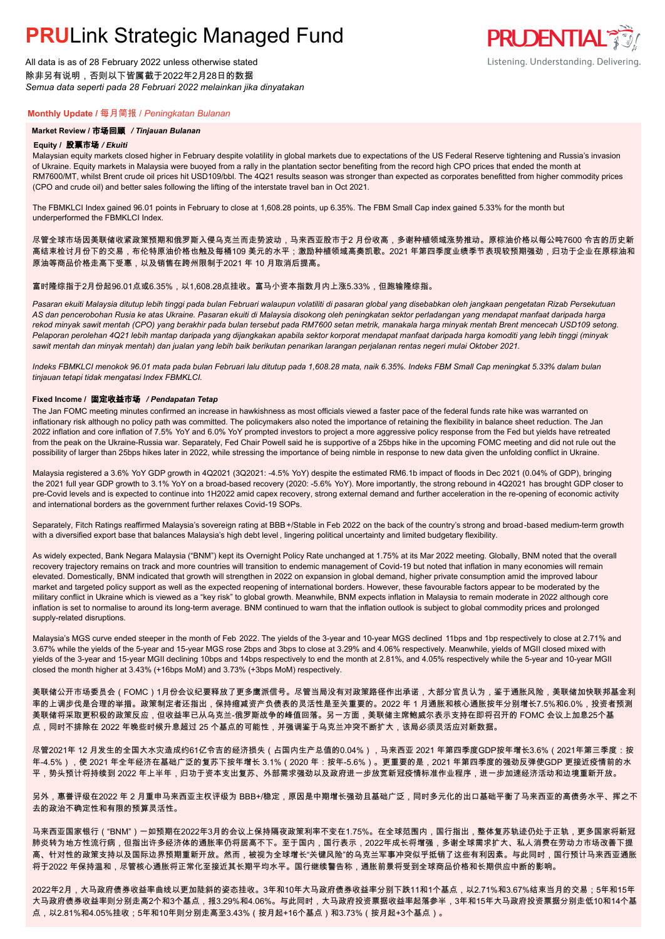All data is as of 28 February 2022 unless otherwise stated 除非另有说明,否则以下皆属截于2022年2月28日的数据 *Semua data seperti pada 28 Februari 2022 melainkan jika dinyatakan*

### **Monthly Update /** 每月简报 / *Peningkatan Bulanan*

#### **Market Review /** 市场回顾 */ Tinjauan Bulanan*

#### **Equity /** 股票市场 */ Ekuiti.*

Malaysian equity markets closed higher in February despite volatility in global markets due to expectations of the US Federal Reserve tightening and Russia's invasion of Ukraine. Equity markets in Malaysia were buoyed from a rally in the plantation sector benefiting from the record high CPO prices that ended the month at RM7600/MT, whilst Brent crude oil prices hit USD109/bbl. The 4Q21 results season was stronger than expected as corporates benefitted from higher commodity prices (CPO and crude oil) and better sales following the lifting of the interstate travel ban in Oct 2021.

**PRUDENTIAL RED** 

Listening. Understanding. Delivering.

The FBMKLCI Index gained 96.01 points in February to close at 1,608.28 points, up 6.35%. The FBM Small Cap index gained 5.33% for the month but underperformed the FBMKLCI Index.

尽管全球市场因美联储收紧政策预期和俄罗斯入侵乌克兰而走势波动,马来西亚股市于2 月份收高,多谢种植领域涨势推动。原棕油价格以每公吨7600 令吉的历史新 高结束检讨月份下的交易,布伦特原油价格也触及每桶109 美元的水平;激励种植领域高奏凯歌。2021 年第四季度业绩季节表现较预期强劲,归功于企业在原棕油和 原油等商品价格走高下受惠,以及销售在跨州限制于2021 年 10 月取消后提高。

#### 富时隆综指于2月份起96.01点或6.35%,以1,608.28点挂收。富马小资本指数月内上涨5.33%,但跑输隆综指。

*Pasaran ekuiti Malaysia ditutup lebih tinggi pada bulan Februari walaupun volatiliti di pasaran global yang disebabkan oleh jangkaan pengetatan Rizab Persekutuan AS dan pencerobohan Rusia ke atas Ukraine. Pasaran ekuiti di Malaysia disokong oleh peningkatan sektor perladangan yang mendapat manfaat daripada harga rekod minyak sawit mentah (CPO) yang berakhir pada bulan tersebut pada RM7600 setan metrik, manakala harga minyak mentah Brent mencecah USD109 setong. Pelaporan perolehan 4Q21 lebih mantap daripada yang dijangkakan apabila sektor korporat mendapat manfaat daripada harga komoditi yang lebih tinggi (minyak sawit mentah dan minyak mentah) dan jualan yang lebih baik berikutan penarikan larangan perjalanan rentas negeri mulai Oktober 2021.*

*Indeks FBMKLCI menokok 96.01 mata pada bulan Februari lalu ditutup pada 1,608.28 mata, naik 6.35%. Indeks FBM Small Cap meningkat 5.33% dalam bulan tinjauan tetapi tidak mengatasi Index FBMKLCI.*

#### **Fixed Income /** 固定收益市场 */ Pendapatan Tetap*

*.* The Jan FOMC meeting minutes confirmed an increase in hawkishness as most officials viewed a faster pace of the federal funds rate hike was warranted on inflationary risk although no policy path was committed. The policymakers also noted the importance of retaining the flexibility in balance sheet reduction. The Jan 2022 inflation and core inflation of 7.5% YoY and 6.0% YoY prompted investors to project a more aggressive policy response from the Fed but yields have retreated from the peak on the Ukraine-Russia war. Separately, Fed Chair Powell said he is supportive of a 25bps hike in the upcoming FOMC meeting and did not rule out the possibility of larger than 25bps hikes later in 2022, while stressing the importance of being nimble in response to new data given the unfolding conflict in Ukraine.

Malaysia registered a 3.6% YoY GDP growth in 4Q2021 (3Q2021: -4.5% YoY) despite the estimated RM6.1b impact of floods in Dec 2021 (0.04% of GDP), bringing the 2021 full year GDP growth to 3.1% YoY on a broad-based recovery (2020: -5.6% YoY). More importantly, the strong rebound in 4Q2021 has brought GDP closer to pre-Covid levels and is expected to continue into 1H2022 amid capex recovery, strong external demand and further acceleration in the re-opening of economic activity and international borders as the government further relaxes Covid-19 SOPs.

Separately, Fitch Ratings reaffirmed Malaysia's sovereign rating at BBB+/Stable in Feb 2022 on the back of the country's strong and broad-based medium-term growth with a diversified export base that balances Malaysia's high debt level , lingering political uncertainty and limited budgetary flexibility.

As widely expected, Bank Negara Malaysia ("BNM") kept its Overnight Policy Rate unchanged at 1.75% at its Mar 2022 meeting. Globally, BNM noted that the overall recovery trajectory remains on track and more countries will transition to endemic management of Covid-19 but noted that inflation in many economies will remain elevated. Domestically, BNM indicated that growth will strengthen in 2022 on expansion in global demand, higher private consumption amid the improved labour market and targeted policy support as well as the expected reopening of international borders. However, these favourable factors appear to be moderated by the military conflict in Ukraine which is viewed as a "key risk" to global growth. Meanwhile, BNM expects inflation in Malaysia to remain moderate in 2022 although core inflation is set to normalise to around its long-term average. BNM continued to warn that the inflation outlook is subject to global commodity prices and prolonged supply-related disruptions.

Malaysia's MGS curve ended steeper in the month of Feb 2022. The yields of the 3-year and 10-year MGS declined 11bps and 1bp respectively to close at 2.71% and 3.67% while the yields of the 5-year and 15-year MGS rose 2bps and 3bps to close at 3.29% and 4.06% respectively. Meanwhile, yields of MGII closed mixed with yields of the 3-year and 15-year MGII declining 10bps and 14bps respectively to end the month at 2.81%, and 4.05% respectively while the 5-year and 10-year MGII closed the month higher at 3.43% (+16bps MoM) and 3.73% (+3bps MoM) respectively.

美联储公开市场委员会(FOMC)1月份会议纪要释放了更多鹰派信号。尽管当局没有对政策路径作出承诺,大部分官员认为,鉴于通胀风险,美联储加快联邦基金利 率的上调步伐是合理的举措。政策制定者还指出,保持缩减资产负债表的灵活性是至关重要的。2022 年 1 月通胀和核心通胀按年分别增长7.5%和6.0%,投资者预测 美联储将采取更积极的政策反应,但收益率已从乌克兰-俄罗斯战争的峰值回落。另一方面,美联储主席鲍威尔表示支持在即将召开的 FOMC 会议上加息25个基 点,同时不排除在 2022 年晚些时候升息超过 25 个基点的可能性,并强调鉴于乌克兰冲突不断扩大,该局必须灵活应对新数据。

尽管2021年 12 月发生的全国大水灾造成约61亿令吉的经济损失(占国内生产总值的0.04%),马来西亚 2021 年第四季度GDP按年增长3.6%(2021年第三季度:按 年-4.5%),使 2021 年全年经济在基础广泛的复苏下按年增长 3.1%(2020 年:按年-5.6%)。更重要的是,2021 年第四季度的强劲反弹使GDP 更接近疫情前的水 平,势头预计将持续到 2022 年上半年,归功于资本支出复苏、外部需求强劲以及政府进一步放宽新冠疫情标准作业程序,进一步加速经济活动和边境重新开放。

另外,惠誉评级在2022 年 2 月重申马来西亚主权评级为 BBB+/稳定,原因是中期增长强劲且基础广泛,同时多元化的出口基础平衡了马来西亚的高债务水平、挥之不 去的政治不确定性和有限的预算灵活性。

马来西亚国家银行("BNM")一如预期在2022年3月的会议上保持隔夜政策利率不变在1.75%。在全球范围内,国行指出,整体复苏轨迹仍处于正轨,更多国家将新冠 肺炎转为地方性流行病,但指出许多经济体的通胀率仍将居高不下。至于国内,国行表示,2022年成长将增强,多谢全球需求扩大、私人消费在劳动力市场改善下提 高、针对性的政策支持以及国际边界预期重新开放。然而,被视为全球增长"关键风险"的乌克兰军事冲突似乎抵销了这些有利因素。与此同时,国行预计马来西亚通胀 将于2022 年保持温和,尽管核心通胀将正常化至接近其长期平均水平。国行继续警告称,通胀前景将受到全球商品价格和长期供应中断的影响。

2022年2月,大马政府债券收益率曲线以更加陡斜的姿态挂收。3年和10年大马政府债券收益率分别下跌11和1个基点,以2.71%和3.67%结束当月的交易;5年和15年 大马政府债券收益率则分别走高2个和3个基点,报3.29%和4.06%。与此同时,大马政府投资票据收益率起落参半,3年和15年大马政府投资票据分别走低10和14个基 点,以2.81%和4.05%挂收;5年和10年则分别走高至3.43%(按月起+16个基点)和3.73%(按月起+3个基点)。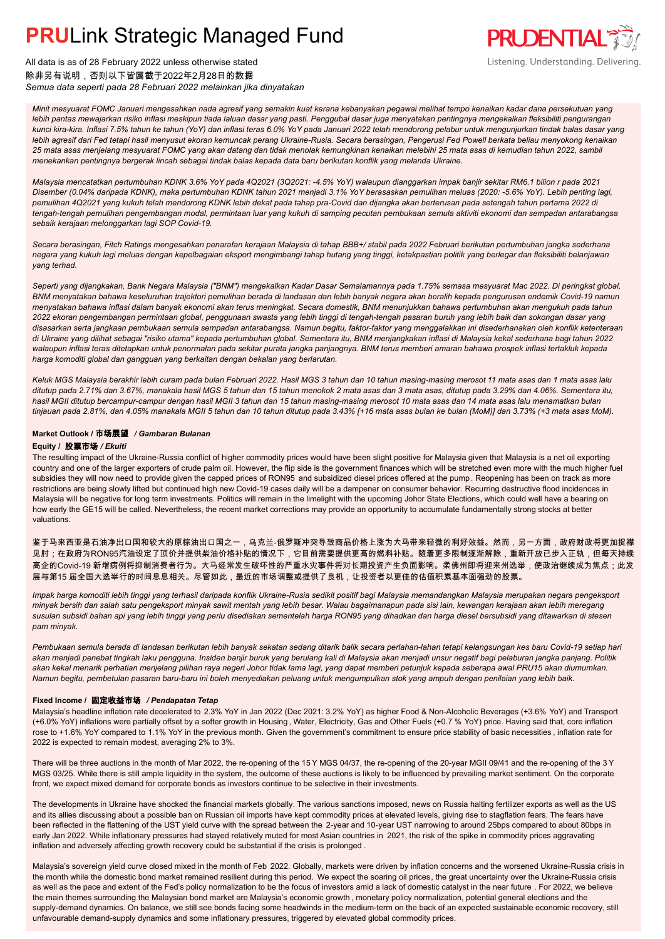

All data is as of 28 February 2022 unless otherwise stated 除非另有说明,否则以下皆属截于2022年2月28日的数据 *Semua data seperti pada 28 Februari 2022 melainkan jika dinyatakan*

*Minit mesyuarat FOMC Januari mengesahkan nada agresif yang semakin kuat kerana kebanyakan pegawai melihat tempo kenaikan kadar dana persekutuan yang lebih pantas mewajarkan risiko inflasi meskipun tiada laluan dasar yang pasti. Penggubal dasar juga menyatakan pentingnya mengekalkan fleksibiliti pengurangan kunci kira-kira. Inflasi 7.5% tahun ke tahun (YoY) dan inflasi teras 6.0% YoY pada Januari 2022 telah mendorong pelabur untuk mengunjurkan tindak balas dasar yang lebih agresif dari Fed tetapi hasil menyusut ekoran kemuncak perang Ukraine-Rusia. Secara berasingan, Pengerusi Fed Powell berkata beliau menyokong kenaikan 25 mata asas menjelang mesyuarat FOMC yang akan datang dan tidak menolak kemungkinan kenaikan melebihi 25 mata asas di kemudian tahun 2022, sambil menekankan pentingnya bergerak lincah sebagai tindak balas kepada data baru berikutan konflik yang melanda Ukraine.*

*Malaysia mencatatkan pertumbuhan KDNK 3.6% YoY pada 4Q2021 (3Q2021: -4.5% YoY) walaupun dianggarkan impak banjir sekitar RM6.1 bilion r pada 2021 Disember (0.04% daripada KDNK), maka pertumbuhan KDNK tahun 2021 menjadi 3.1% YoY berasaskan pemulihan meluas (2020: -5.6% YoY). Lebih penting lagi, pemulihan 4Q2021 yang kukuh telah mendorong KDNK lebih dekat pada tahap pra-Covid dan dijangka akan berterusan pada setengah tahun pertama 2022 di tengah-tengah pemulihan pengembangan modal, permintaan luar yang kukuh di samping pecutan pembukaan semula aktiviti ekonomi dan sempadan antarabangsa sebaik kerajaan melonggarkan lagi SOP Covid-19.*

*Secara berasingan, Fitch Ratings mengesahkan penarafan kerajaan Malaysia di tahap BBB+/ stabil pada 2022 Februari berikutan pertumbuhan jangka sederhana negara yang kukuh lagi meluas dengan kepelbagaian eksport mengimbangi tahap hutang yang tinggi, ketakpastian politik yang berlegar dan fleksibiliti belanjawan yang terhad.*

*Seperti yang dijangkakan, Bank Negara Malaysia ("BNM") mengekalkan Kadar Dasar Semalamannya pada 1.75% semasa mesyuarat Mac 2022. Di peringkat global, BNM menyatakan bahawa keseluruhan trajektori pemulihan berada di landasan dan lebih banyak negara akan beralih kepada pengurusan endemik Covid-19 namun menyatakan bahawa inflasi dalam banyak ekonomi akan terus meningkat. Secara domestik, BNM menunjukkan bahawa pertumbuhan akan mengukuh pada tahun 2022 ekoran pengembangan permintaan global, penggunaan swasta yang lebih tinggi di tengah-tengah pasaran buruh yang lebih baik dan sokongan dasar yang disasarkan serta jangkaan pembukaan semula sempadan antarabangsa. Namun begitu, faktor-faktor yang menggalakkan ini disederhanakan oleh konflik ketenteraan di Ukraine yang dilihat sebagai "risiko utama" kepada pertumbuhan global. Sementara itu, BNM menjangkakan inflasi di Malaysia kekal sederhana bagi tahun 2022 walaupun inflasi teras ditetapkan untuk penormalan pada sekitar purata jangka panjangnya. BNM terus memberi amaran bahawa prospek inflasi tertakluk kepada harga komoditi global dan gangguan yang berkaitan dengan bekalan yang berlarutan.*

*Keluk MGS Malaysia berakhir lebih curam pada bulan Februari 2022. Hasil MGS 3 tahun dan 10 tahun masing-masing merosot 11 mata asas dan 1 mata asas lalu ditutup pada 2.71% dan 3.67%, manakala hasil MGS 5 tahun dan 15 tahun menokok 2 mata asas dan 3 mata asas, ditutup pada 3.29% dan 4.06%. Sementara itu, hasil MGII ditutup bercampur-campur dengan hasil MGII 3 tahun dan 15 tahun masing-masing merosot 10 mata asas dan 14 mata asas lalu menamatkan bulan tinjauan pada 2.81%, dan 4.05% manakala MGII 5 tahun dan 10 tahun ditutup pada 3.43% [+16 mata asas bulan ke bulan (MoM)] dan 3.73% (+3 mata asas MoM).*

#### **Market Outlook /** 市场展望 */ Gambaran Bulanan*

#### **Equity /** 股票市场 */ Ekuiti .*

The resulting impact of the Ukraine-Russia conflict of higher commodity prices would have been slight positive for Malaysia given that Malaysia is a net oil exporting country and one of the larger exporters of crude palm oil. However, the flip side is the government finances which will be stretched even more with the much higher fuel subsidies they will now need to provide given the capped prices of RON95 and subsidized diesel prices offered at the pump. Reopening has been on track as more restrictions are being slowly lifted but continued high new Covid-19 cases daily will be a dampener on consumer behavior. Recurring destructive flood incidences in Malaysia will be negative for long term investments. Politics will remain in the limelight with the upcoming Johor State Elections, which could well have a bearing on how early the GE15 will be called. Nevertheless, the recent market corrections may provide an opportunity to accumulate fundamentally strong stocks at better valuations.

鉴于马来西亚是石油净出口国和较大的原棕油出口国之一,乌克兰-俄罗斯冲突导致商品价格上涨为大马带来轻微的利好效益。然而,另一方面,政府财政将更加捉襟 见肘;在政府为RON95汽油设定了顶价并提供柴油价格补贴的情况下,它目前需要提供更高的燃料补贴。随着更多限制逐渐解除,重新开放已步入正轨,但每天持续 高企的Covid-19 新增病例将抑制消费者行为。大马经常发生破坏性的严重水灾事件将对长期投资产生负面影响。柔佛州即将迎来州选举,使政治继续成为焦点;此发 展与第15 届全国大选举行的时间息息相关。尽管如此,最近的市场调整或提供了良机,让投资者以更佳的估值积累基本面强劲的股票。

*Impak harga komoditi lebih tinggi yang terhasil daripada konflik Ukraine-Rusia sedikit positif bagi Malaysia memandangkan Malaysia merupakan negara pengeksport minyak bersih dan salah satu pengeksport minyak sawit mentah yang lebih besar. Walau bagaimanapun pada sisi lain, kewangan kerajaan akan lebih meregang susulan subsidi bahan api yang lebih tinggi yang perlu disediakan sementelah harga RON95 yang dihadkan dan harga diesel bersubsidi yang ditawarkan di stesen pam minyak.*

*Pembukaan semula berada di landasan berikutan lebih banyak sekatan sedang ditarik balik secara perlahan-lahan tetapi kelangsungan kes baru Covid-19 setiap hari akan menjadi penebat tingkah laku pengguna. Insiden banjir buruk yang berulang kali di Malaysia akan menjadi unsur negatif bagi pelaburan jangka panjang. Politik akan kekal menarik perhatian menjelang pilihan raya negeri Johor tidak lama lagi, yang dapat memberi petunjuk kepada seberapa awal PRU15 akan diumumkan. Namun begitu, pembetulan pasaran baru-baru ini boleh menyediakan peluang untuk mengumpulkan stok yang ampuh dengan penilaian yang lebih baik.*

#### **Fixed Income /** 固定收益市场 */ Pendapatan Tetap*

*.* Malaysia's headline inflation rate decelerated to 2.3% YoY in Jan 2022 (Dec 2021: 3.2% YoY) as higher Food & Non-Alcoholic Beverages (+3.6% YoY) and Transport (+6.0% YoY) inflations were partially offset by a softer growth in Housing , Water, Electricity, Gas and Other Fuels (+0.7 % YoY) price. Having said that, core inflation rose to +1.6% YoY compared to 1.1% YoY in the previous month. Given the government's commitment to ensure price stability of basic necessities , inflation rate for 2022 is expected to remain modest, averaging 2% to 3%.

There will be three auctions in the month of Mar 2022, the re-opening of the 15 Y MGS 04/37, the re-opening of the 20-year MGII 09/41 and the re-opening of the 3 Y MGS 03/25. While there is still ample liquidity in the system, the outcome of these auctions is likely to be influenced by prevailing market sentiment. On the corporate front, we expect mixed demand for corporate bonds as investors continue to be selective in their investments.

The developments in Ukraine have shocked the financial markets globally. The various sanctions imposed, news on Russia halting fertilizer exports as well as the US and its allies discussing about a possible ban on Russian oil imports have kept commodity prices at elevated levels, giving rise to stagflation fears. The fears have been reflected in the flattening of the UST yield curve with the spread between the 2-year and 10-year UST narrowing to around 25bps compared to about 80bps in early Jan 2022. While inflationary pressures had stayed relatively muted for most Asian countries in 2021, the risk of the spike in commodity prices aggravating inflation and adversely affecting growth recovery could be substantial if the crisis is prolonged .

Malaysia's sovereign yield curve closed mixed in the month of Feb 2022. Globally, markets were driven by inflation concerns and the worsened Ukraine-Russia crisis in the month while the domestic bond market remained resilient during this period. We expect the soaring oil prices, the great uncertainty over the Ukraine-Russia crisis as well as the pace and extent of the Fed's policy normalization to be the focus of investors amid a lack of domestic catalyst in the near future . For 2022, we believe the main themes surrounding the Malaysian bond market are Malaysia's economic growth , monetary policy normalization, potential general elections and the supply-demand dynamics. On balance, we still see bonds facing some headwinds in the medium-term on the back of an expected sustainable economic recovery, still unfavourable demand-supply dynamics and some inflationary pressures, triggered by elevated global commodity prices.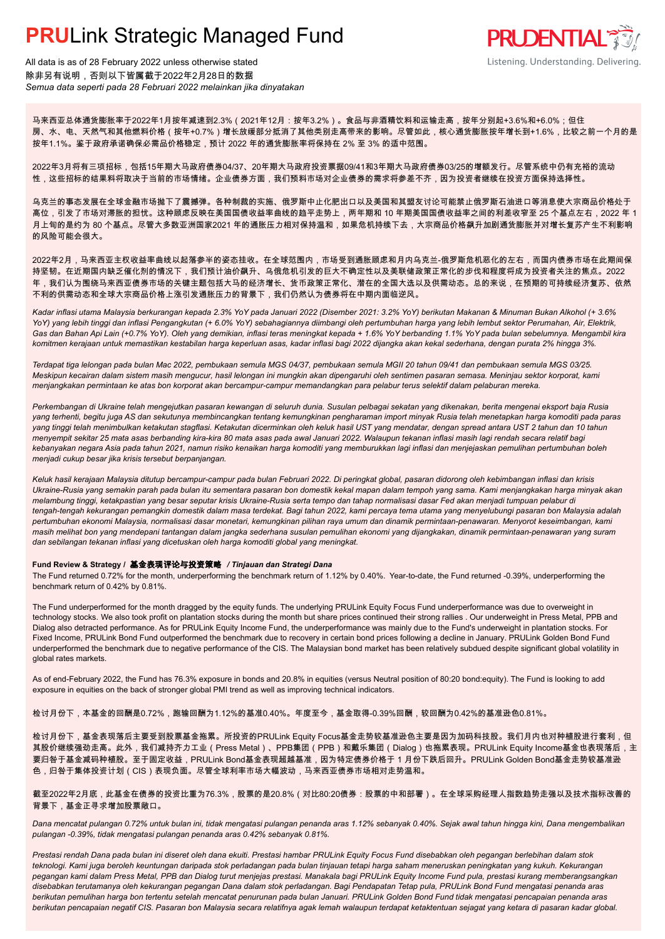

All data is as of 28 February 2022 unless otherwise stated 除非另有说明,否则以下皆属截于2022年2月28日的数据 *Semua data seperti pada 28 Februari 2022 melainkan jika dinyatakan*

马来西亚总体通货膨胀率于2022年1月按年减速到2.3%(2021年12月:按年3.2%)。食品与非酒精饮料和运输走高,按年分别起+3.6%和+6.0%;但住 房、水、电、天然气和其他燃料价格(按年+0.7%)增长放缓部分抵消了其他类别走高带来的影响。尽管如此,核心通货膨胀按年增长到+1.6%,比较之前一个月的是 按年1.1%。鉴于政府承诺确保必需品价格稳定,预计 2022 年的通货膨胀率将保持在 2% 至 3% 的适中范围。

2022年3月将有三项招标,包括15年期大马政府债券04/37、20年期大马政府投资票据09/41和3年期大马政府债券03/25的增额发行。尽管系统中仍有充裕的流动 性,这些招标的结果料将取决于当前的市场情绪。企业债券方面,我们预料市场对企业债券的需求将参差不齐,因为投资者继续在投资方面保持选择性。

乌克兰的事态发展在全球金融市场抛下了震撼弹。各种制裁的实施、俄罗斯中止化肥出口以及美国和其盟友讨论可能禁止俄罗斯石油进口等消息使大宗商品价格处于 高位,引发了市场对滞胀的担忧。这种顾虑反映在美国国债收益率曲线的趋平走势上,两年期和 10 年期美国国债收益率之间的利差收窄至 25 个基点左右,2022 年 1 月上旬的是约为 80 个基点。尽管大多数亚洲国家2021 年的通胀压力相对保持温和,如果危机持续下去,大宗商品价格飙升加剧通货膨胀并对增长复苏产生不利影响 的风险可能会很大。

2022年2月,马来西亚主权收益率曲线以起落参半的姿态挂收。在全球范围内,市场受到通胀顾虑和月内乌克兰-俄罗斯危机恶化的左右,而国内债券市场在此期间保 持坚韧。在近期国内缺乏催化剂的情况下,我们预计油价飙升、乌俄危机引发的巨大不确定性以及美联储政策正常化的步伐和程度将成为投资者关注的焦点。2022 年,我们认为围绕马来西亚债券市场的关键主题包括大马的经济增长、货币政策正常化、潜在的全国大选以及供需动态。总的来说,在预期的可持续经济复苏、依然 不利的供需动态和全球大宗商品价格上涨引发通胀压力的背景下,我们仍然认为债券将在中期内面临逆风。

*Kadar inflasi utama Malaysia berkurangan kepada 2.3% YoY pada Januari 2022 (Disember 2021: 3.2% YoY) berikutan Makanan & Minuman Bukan Alkohol (+ 3.6% YoY) yang lebih tinggi dan inflasi Pengangkutan (+ 6.0% YoY) sebahagiannya diimbangi oleh pertumbuhan harga yang lebih lembut sektor Perumahan, Air, Elektrik, Gas dan Bahan Api Lain (+0.7% YoY). Oleh yang demikian, inflasi teras meningkat kepada + 1.6% YoY berbanding 1.1% YoY pada bulan sebelumnya. Mengambil kira komitmen kerajaan untuk memastikan kestabilan harga keperluan asas, kadar inflasi bagi 2022 dijangka akan kekal sederhana, dengan purata 2% hingga 3%.*

*Terdapat tiga lelongan pada bulan Mac 2022, pembukaan semula MGS 04/37, pembukaan semula MGII 20 tahun 09/41 dan pembukaan semula MGS 03/25. Meskipun kecairan dalam sistem masih mengucur, hasil lelongan ini mungkin akan dipengaruhi oleh sentimen pasaran semasa. Meninjau sektor korporat, kami menjangkakan permintaan ke atas bon korporat akan bercampur-campur memandangkan para pelabur terus selektif dalam pelaburan mereka.*

*Perkembangan di Ukraine telah mengejutkan pasaran kewangan di seluruh dunia. Susulan pelbagai sekatan yang dikenakan, berita mengenai eksport baja Rusia yang terhenti, begitu juga AS dan sekutunya membincangkan tentang kemungkinan pengharaman import minyak Rusia telah menetapkan harga komoditi pada paras yang tinggi telah menimbulkan ketakutan stagflasi. Ketakutan dicerminkan oleh keluk hasil UST yang mendatar, dengan spread antara UST 2 tahun dan 10 tahun menyempit sekitar 25 mata asas berbanding kira-kira 80 mata asas pada awal Januari 2022. Walaupun tekanan inflasi masih lagi rendah secara relatif bagi kebanyakan negara Asia pada tahun 2021, namun risiko kenaikan harga komoditi yang memburukkan lagi inflasi dan menjejaskan pemulihan pertumbuhan boleh menjadi cukup besar jika krisis tersebut berpanjangan.*

*Keluk hasil kerajaan Malaysia ditutup bercampur-campur pada bulan Februari 2022. Di peringkat global, pasaran didorong oleh kebimbangan inflasi dan krisis Ukraine-Rusia yang semakin parah pada bulan itu sementara pasaran bon domestik kekal mapan dalam tempoh yang sama. Kami menjangkakan harga minyak akan melambung tinggi, ketakpastian yang besar seputar krisis Ukraine-Rusia serta tempo dan tahap normalisasi dasar Fed akan menjadi tumpuan pelabur di tengah-tengah kekurangan pemangkin domestik dalam masa terdekat. Bagi tahun 2022, kami percaya tema utama yang menyelubungi pasaran bon Malaysia adalah pertumbuhan ekonomi Malaysia, normalisasi dasar monetari, kemungkinan pilihan raya umum dan dinamik permintaan-penawaran. Menyorot keseimbangan, kami masih melihat bon yang mendepani tantangan dalam jangka sederhana susulan pemulihan ekonomi yang dijangkakan, dinamik permintaan-penawaran yang suram dan sebilangan tekanan inflasi yang dicetuskan oleh harga komoditi global yang meningkat.*

#### **Fund Review & Strategy /** 基金表现评论与投资策略 */ Tinjauan dan Strategi Dana*

The Fund returned 0.72% for the month, underperforming the benchmark return of 1.12% by 0.40%. Year-to-date, the Fund returned -0.39%, underperforming the *.* benchmark return of 0.42% by 0.81%.

The Fund underperformed for the month dragged by the equity funds. The underlying PRULink Equity Focus Fund underperformance was due to overweight in technology stocks. We also took profit on plantation stocks during the month but share prices continued their strong rallies . Our underweight in Press Metal, PPB and Dialog also detracted performance. As for PRULink Equity Income Fund, the underperformance was mainly due to the Fund's underweight in plantation stocks. For Fixed Income, PRULink Bond Fund outperformed the benchmark due to recovery in certain bond prices following a decline in January. PRULink Golden Bond Fund underperformed the benchmark due to negative performance of the CIS. The Malaysian bond market has been relatively subdued despite significant global volatility in global rates markets.

As of end-February 2022, the Fund has 76.3% exposure in bonds and 20.8% in equities (versus Neutral position of 80:20 bond:equity). The Fund is looking to add exposure in equities on the back of stronger global PMI trend as well as improving technical indicators.

检讨月份下,本基金的回酬是0.72%,跑输回酬为1.12%的基准0.40%。年度至今,基金取得-0.39%回酬,较回酬为0.42%的基准逊色0.81%。

检讨月份下,基金表现落后主要受到股票基金拖累。所投资的PRULink Equity Focus基金走势较基准逊色主要是因为加码科技股。我们月内也对种植股进行套利,但 其股价继续强劲走高。此外,我们减持齐力工业(Press Metal)、PPB集团(PPB)和戴乐集团(Dialog)也拖累表现。PRULink Equity Income基金也表现落后,主 要归咎于基金减码种植股。至于固定收益,PRULink Bond基金表现超越基准,因为特定债券价格于 1 月份下跌后回升。PRULink Golden Bond基金走势较基准逊 色,归咎于集体投资计划(CIS)表现负面。尽管全球利率市场大幅波动,马来西亚债券市场相对走势温和。

截至2022年2月底,此基金在债券的投资比重为76.3%,股票的是20.8%(对比80:20债券:股票的中和部署)。在全球采购经理人指数趋势走强以及技术指标改善的 背景下,基金正寻求增加股票敞口。

*Dana mencatat pulangan 0.72% untuk bulan ini, tidak mengatasi pulangan penanda aras 1.12% sebanyak 0.40%. Sejak awal tahun hingga kini, Dana mengembalikan pulangan -0.39%, tidak mengatasi pulangan penanda aras 0.42% sebanyak 0.81%.*

*Prestasi rendah Dana pada bulan ini diseret oleh dana ekuiti. Prestasi hambar PRULink Equity Focus Fund disebabkan oleh pegangan berlebihan dalam stok teknologi. Kami juga beroleh keuntungan daripada stok perladangan pada bulan tinjauan tetapi harga saham meneruskan peningkatan yang kukuh. Kekurangan pegangan kami dalam Press Metal, PPB dan Dialog turut menjejas prestasi. Manakala bagi PRULink Equity Income Fund pula, prestasi kurang memberangsangkan disebabkan terutamanya oleh kekurangan pegangan Dana dalam stok perladangan. Bagi Pendapatan Tetap pula, PRULink Bond Fund mengatasi penanda aras berikutan pemulihan harga bon tertentu setelah mencatat penurunan pada bulan Januari. PRULink Golden Bond Fund tidak mengatasi pencapaian penanda aras berikutan pencapaian negatif CIS. Pasaran bon Malaysia secara relatifnya agak lemah walaupun terdapat ketaktentuan sejagat yang ketara di pasaran kadar global.*